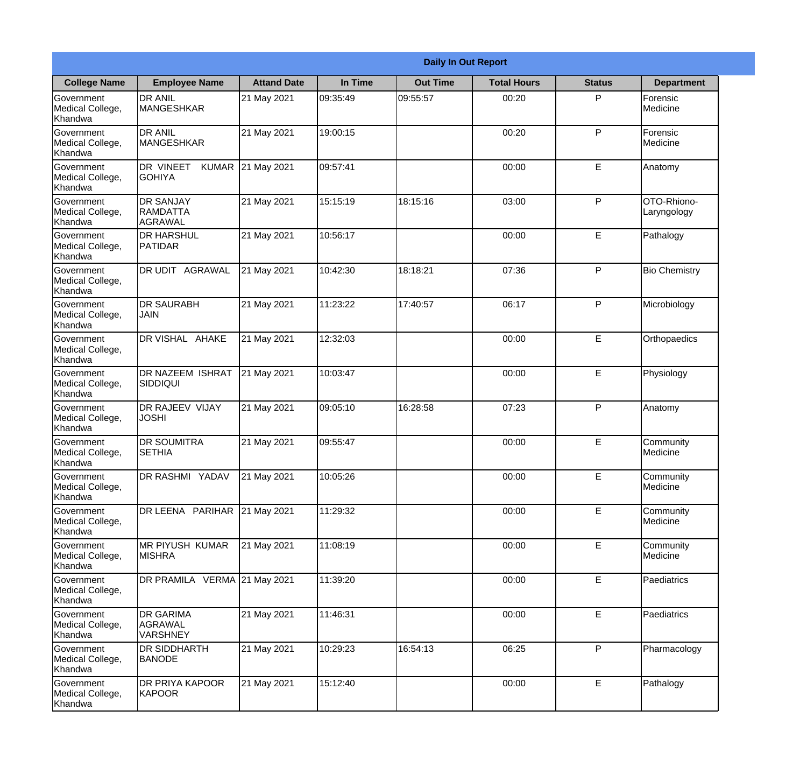|                                                  | <b>Daily In Out Report</b>                     |                    |          |                 |                    |               |                            |  |  |
|--------------------------------------------------|------------------------------------------------|--------------------|----------|-----------------|--------------------|---------------|----------------------------|--|--|
| <b>College Name</b>                              | <b>Employee Name</b>                           | <b>Attand Date</b> | In Time  | <b>Out Time</b> | <b>Total Hours</b> | <b>Status</b> | <b>Department</b>          |  |  |
| Government<br>Medical College,<br>Khandwa        | <b>DR ANIL</b><br><b>MANGESHKAR</b>            | 21 May 2021        | 09:35:49 | 09:55:57        | 00:20              | P             | Forensic<br>Medicine       |  |  |
| Government<br>Medical College,<br>Khandwa        | <b>DR ANIL</b><br><b>MANGESHKAR</b>            | 21 May 2021        | 19:00:15 |                 | 00:20              | P             | Forensic<br>Medicine       |  |  |
| <b>Government</b><br>Medical College,<br>Khandwa | DR VINEET<br><b>KUMAR</b><br><b>GOHIYA</b>     | 21 May 2021        | 09:57:41 |                 | 00:00              | E             | Anatomy                    |  |  |
| <b>Government</b><br>Medical College,<br>Khandwa | <b>DR SANJAY</b><br>RAMDATTA<br><b>AGRAWAL</b> | 21 May 2021        | 15:15:19 | 18:15:16        | 03:00              | P             | OTO-Rhiono-<br>Laryngology |  |  |
| Government<br>Medical College,<br>Khandwa        | <b>DR HARSHUL</b><br>PATIDAR                   | 21 May 2021        | 10:56:17 |                 | 00:00              | E             | Pathalogy                  |  |  |
| Government<br>Medical College,<br>Khandwa        | DR UDIT AGRAWAL                                | 21 May 2021        | 10:42:30 | 18:18:21        | 07:36              | P             | <b>Bio Chemistry</b>       |  |  |
| <b>Government</b><br>Medical College,<br>Khandwa | <b>DR SAURABH</b><br><b>JAIN</b>               | 21 May 2021        | 11:23:22 | 17:40:57        | 06:17              | P             | Microbiology               |  |  |
| <b>Government</b><br>Medical College,<br>Khandwa | DR VISHAL AHAKE                                | 21 May 2021        | 12:32:03 |                 | 00:00              | E             | Orthopaedics               |  |  |
| Government<br>Medical College,<br>Khandwa        | <b>DR NAZEEM ISHRAT</b><br>SIDDIQUI            | 21 May 2021        | 10:03:47 |                 | 00:00              | E             | Physiology                 |  |  |
| Government<br>Medical College,<br>Khandwa        | <b>DR RAJEEV VIJAY</b><br><b>JOSHI</b>         | 21 May 2021        | 09:05:10 | 16:28:58        | 07:23              | P             | Anatomy                    |  |  |
| Government<br>Medical College,<br>Khandwa        | IDR SOUMITRA<br><b>SETHIA</b>                  | 21 May 2021        | 09:55:47 |                 | 00:00              | E             | Community<br>Medicine      |  |  |
| Government<br>Medical College,<br>Khandwa        | <b>DR RASHMI YADAV</b>                         | 21 May 2021        | 10:05:26 |                 | 00:00              | E             | Community<br>Medicine      |  |  |
| Government<br>Medical College,<br>Khandwa        | DR LEENA PARIHAR                               | 21 May 2021        | 11:29:32 |                 | 00:00              | E             | Community<br>Medicine      |  |  |
| Government<br>Medical College,<br>Khandwa        | MR PIYUSH KUMAR<br><b>MISHRA</b>               | 21 May 2021        | 11:08:19 |                 | 00:00              | $\mathsf E$   | Community<br>Medicine      |  |  |
| Government<br>Medical College,<br>Khandwa        | DR PRAMILA VERMA 21 May 2021                   |                    | 11:39:20 |                 | 00:00              | E             | Paediatrics                |  |  |
| Government<br>Medical College,<br>Khandwa        | <b>DR GARIMA</b><br>AGRAWAL<br><b>VARSHNEY</b> | 21 May 2021        | 11:46:31 |                 | 00:00              | E             | Paediatrics                |  |  |
| Government<br>Medical College,<br>Khandwa        | <b>DR SIDDHARTH</b><br><b>BANODE</b>           | 21 May 2021        | 10:29:23 | 16:54:13        | 06:25              | P             | Pharmacology               |  |  |
| Government<br>Medical College,<br>Khandwa        | <b>DR PRIYA KAPOOR</b><br>KAPOOR               | 21 May 2021        | 15:12:40 |                 | 00:00              | $\mathsf E$   | Pathalogy                  |  |  |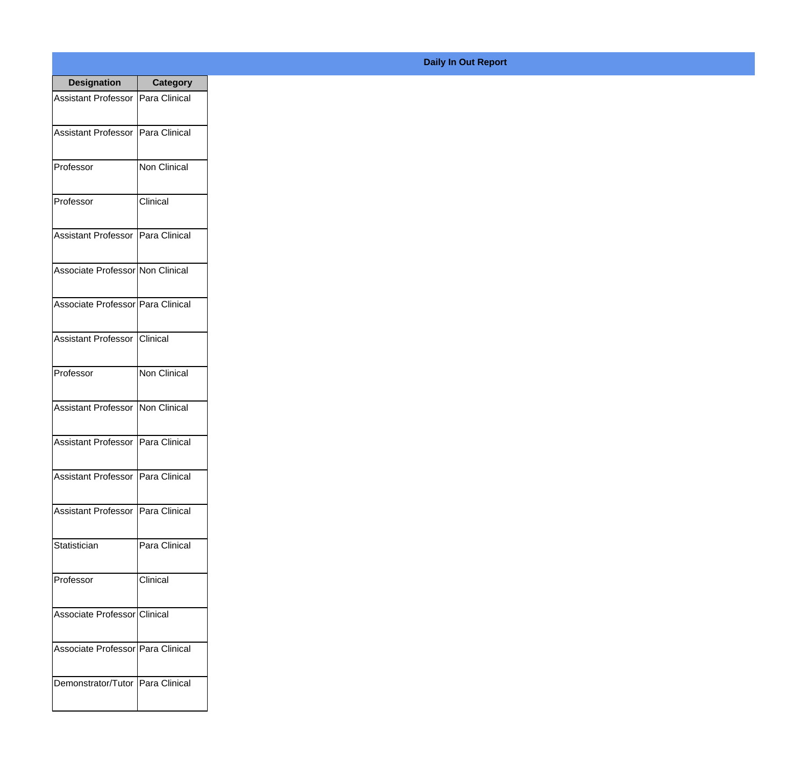| <b>Designation</b>                  | <b>Category</b>     |
|-------------------------------------|---------------------|
| <b>Assistant Professor</b>          | Para Clinical       |
| <b>Assistant Professor</b>          | Para Clinical       |
| Professor                           | Non Clinical        |
| Professor                           | Clinical            |
| <b>Assistant Professor</b>          | Para Clinical       |
| Associate Professor Non Clinical    |                     |
| Associate Professor Para Clinical   |                     |
| Assistant Professor   Clinical      |                     |
| Professor                           | <b>Non Clinical</b> |
| <b>Assistant Professor</b>          | Non Clinical        |
| <b>Assistant Professor</b>          | Para Clinical       |
| Assistant Professor   Para Clinical |                     |
| <b>Assistant Professor</b>          | Para Clinical       |
| Statistician                        | Para Clinical       |
| Professor                           | Clinical            |
| Associate Professor Clinical        |                     |
| Associate Professor   Para Clinical |                     |
| Demonstrator/Tutor   Para Clinical  |                     |

## **Daily In Out Report**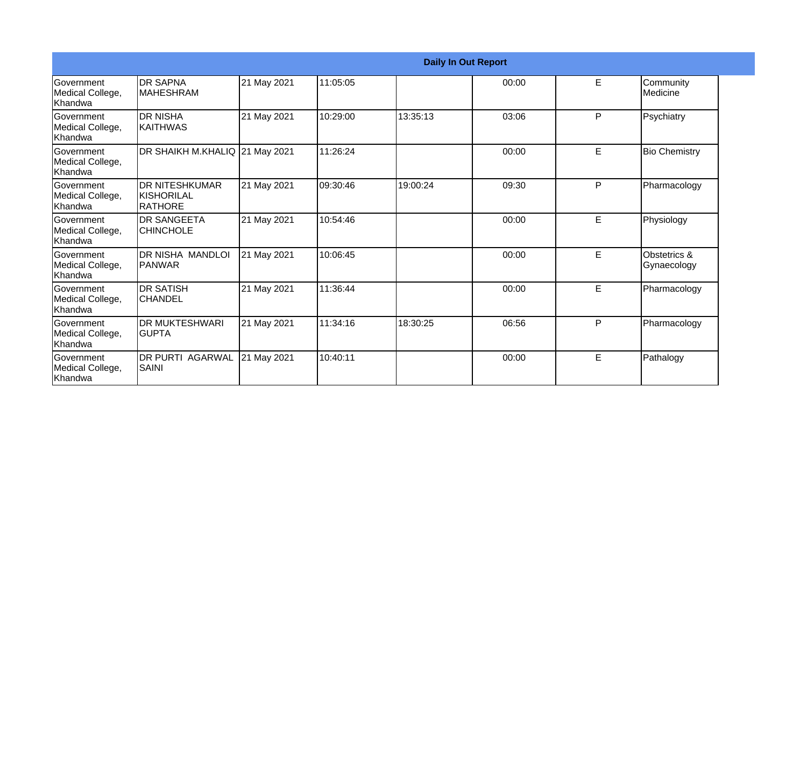|                                                   | <b>Daily In Out Report</b>                              |             |          |          |       |    |                             |  |
|---------------------------------------------------|---------------------------------------------------------|-------------|----------|----------|-------|----|-----------------------------|--|
| <b>Government</b><br>Medical College,<br>Khandwa  | <b>DR SAPNA</b><br><b>IMAHESHRAM</b>                    | 21 May 2021 | 11:05:05 |          | 00:00 | E. | Community<br>Medicine       |  |
| Government<br>Medical College,<br>Khandwa         | <b>DR NISHA</b><br><b>KAITHWAS</b>                      | 21 May 2021 | 10:29:00 | 13:35:13 | 03:06 | P  | Psychiatry                  |  |
| <b>Government</b><br>Medical College,<br>Khandwa  | DR SHAIKH M.KHALIQ 21 May 2021                          |             | 11:26:24 |          | 00:00 | E  | <b>Bio Chemistry</b>        |  |
| <b>Government</b><br>Medical College,<br>Khandwa  | <b>DR NITESHKUMAR</b><br>IKISHORILAL<br><b>IRATHORE</b> | 21 May 2021 | 09:30:46 | 19:00:24 | 09:30 | P  | Pharmacology                |  |
| <b>Sovernment</b><br>Medical College,<br>Khandwa  | <b>DR SANGEETA</b><br><b>CHINCHOLE</b>                  | 21 May 2021 | 10:54:46 |          | 00:00 | E  | Physiology                  |  |
| Government<br>Medical College,<br>Khandwa         | DR NISHA MANDLOI<br>IPANWAR                             | 21 May 2021 | 10:06:45 |          | 00:00 | E  | Obstetrics &<br>Gynaecology |  |
| <b>IGovernment</b><br>Medical College,<br>Khandwa | <b>DR SATISH</b><br><b>CHANDEL</b>                      | 21 May 2021 | 11:36:44 |          | 00:00 | E  | Pharmacology                |  |
| <b>IGovernment</b><br>Medical College,<br>Khandwa | <b>DR MUKTESHWARI</b><br>IGUPTA                         | 21 May 2021 | 11:34:16 | 18:30:25 | 06:56 | P  | Pharmacology                |  |
| Government<br>Medical College,<br>Khandwa         | <b>DR PURTI AGARWAL</b><br>SAINI                        | 21 May 2021 | 10:40:11 |          | 00:00 | E  | Pathalogy                   |  |